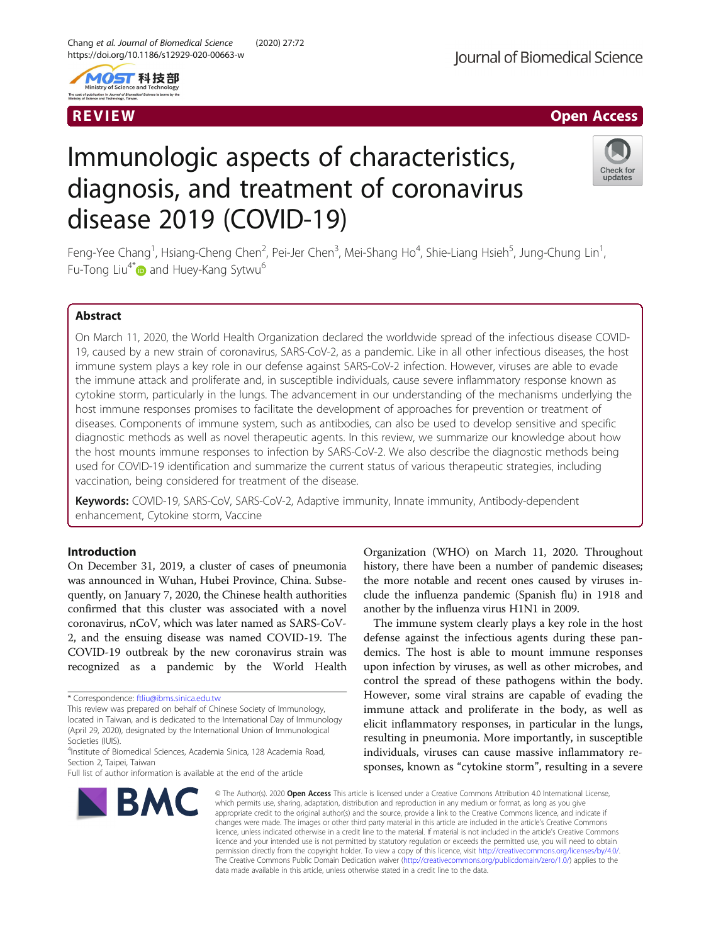



# Immunologic aspects of characteristics, diagnosis, and treatment of coronavirus disease 2019 (COVID-19)



Feng-Yee Chang<sup>1</sup>, Hsiang-Cheng Chen<sup>2</sup>, Pei-Jer Chen<sup>3</sup>, Mei-Shang Ho<sup>4</sup>, Shie-Liang Hsieh<sup>5</sup>, Jung-Chung Lin<sup>1</sup> , Fu-Tong Liu<sup>4\*</sup> and Huey-Kang Sytwu<sup>6</sup>

# Abstract

On March 11, 2020, the World Health Organization declared the worldwide spread of the infectious disease COVID-19, caused by a new strain of coronavirus, SARS-CoV-2, as a pandemic. Like in all other infectious diseases, the host immune system plays a key role in our defense against SARS-CoV-2 infection. However, viruses are able to evade the immune attack and proliferate and, in susceptible individuals, cause severe inflammatory response known as cytokine storm, particularly in the lungs. The advancement in our understanding of the mechanisms underlying the host immune responses promises to facilitate the development of approaches for prevention or treatment of diseases. Components of immune system, such as antibodies, can also be used to develop sensitive and specific diagnostic methods as well as novel therapeutic agents. In this review, we summarize our knowledge about how the host mounts immune responses to infection by SARS-CoV-2. We also describe the diagnostic methods being used for COVID-19 identification and summarize the current status of various therapeutic strategies, including vaccination, being considered for treatment of the disease.

Keywords: COVID-19, SARS-CoV, SARS-CoV-2, Adaptive immunity, Innate immunity, Antibody-dependent enhancement, Cytokine storm, Vaccine

# Introduction

On December 31, 2019, a cluster of cases of pneumonia was announced in Wuhan, Hubei Province, China. Subsequently, on January 7, 2020, the Chinese health authorities confirmed that this cluster was associated with a novel coronavirus, nCoV, which was later named as SARS-CoV-2, and the ensuing disease was named COVID-19. The COVID-19 outbreak by the new coronavirus strain was recognized as a pandemic by the World Health

Full list of author information is available at the end of the article



Organization (WHO) on March 11, 2020. Throughout history, there have been a number of pandemic diseases; the more notable and recent ones caused by viruses include the influenza pandemic (Spanish flu) in 1918 and another by the influenza virus H1N1 in 2009.

The immune system clearly plays a key role in the host defense against the infectious agents during these pandemics. The host is able to mount immune responses upon infection by viruses, as well as other microbes, and control the spread of these pathogens within the body. However, some viral strains are capable of evading the immune attack and proliferate in the body, as well as elicit inflammatory responses, in particular in the lungs, resulting in pneumonia. More importantly, in susceptible individuals, viruses can cause massive inflammatory responses, known as "cytokine storm", resulting in a severe

© The Author(s), 2020 **Open Access** This article is licensed under a Creative Commons Attribution 4.0 International License, which permits use, sharing, adaptation, distribution and reproduction in any medium or format, as long as you give appropriate credit to the original author(s) and the source, provide a link to the Creative Commons licence, and indicate if changes were made. The images or other third party material in this article are included in the article's Creative Commons licence, unless indicated otherwise in a credit line to the material. If material is not included in the article's Creative Commons licence and your intended use is not permitted by statutory regulation or exceeds the permitted use, you will need to obtain permission directly from the copyright holder. To view a copy of this licence, visit [http://creativecommons.org/licenses/by/4.0/.](http://creativecommons.org/licenses/by/4.0/) The Creative Commons Public Domain Dedication waiver [\(http://creativecommons.org/publicdomain/zero/1.0/](http://creativecommons.org/publicdomain/zero/1.0/)) applies to the data made available in this article, unless otherwise stated in a credit line to the data.

<sup>\*</sup> Correspondence: [ftliu@ibms.sinica.edu.tw](mailto:ftliu@ibms.sinica.edu.tw)

This review was prepared on behalf of Chinese Society of Immunology, located in Taiwan, and is dedicated to the International Day of Immunology (April 29, 2020), designated by the International Union of Immunological Societies (IUIS).

<sup>4</sup> Institute of Biomedical Sciences, Academia Sinica, 128 Academia Road, Section 2, Taipei, Taiwan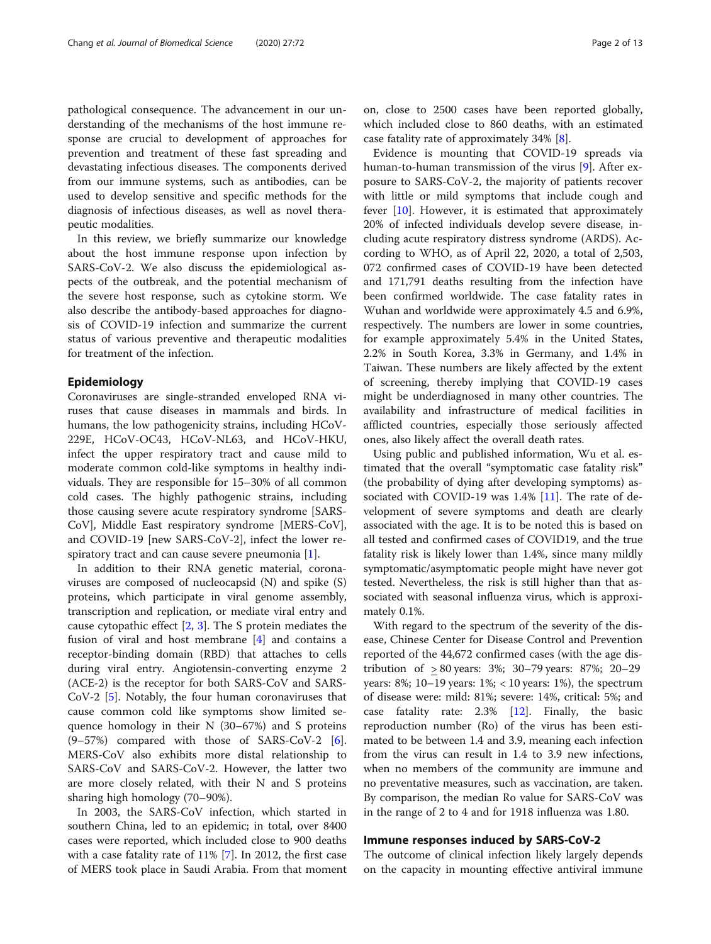pathological consequence. The advancement in our understanding of the mechanisms of the host immune response are crucial to development of approaches for prevention and treatment of these fast spreading and devastating infectious diseases. The components derived from our immune systems, such as antibodies, can be used to develop sensitive and specific methods for the diagnosis of infectious diseases, as well as novel therapeutic modalities.

In this review, we briefly summarize our knowledge about the host immune response upon infection by SARS-CoV-2. We also discuss the epidemiological aspects of the outbreak, and the potential mechanism of the severe host response, such as cytokine storm. We also describe the antibody-based approaches for diagnosis of COVID-19 infection and summarize the current status of various preventive and therapeutic modalities for treatment of the infection.

#### Epidemiology

Coronaviruses are single-stranded enveloped RNA viruses that cause diseases in mammals and birds. In humans, the low pathogenicity strains, including HCoV-229E, HCoV-OC43, HCoV-NL63, and HCoV-HKU, infect the upper respiratory tract and cause mild to moderate common cold-like symptoms in healthy individuals. They are responsible for 15–30% of all common cold cases. The highly pathogenic strains, including those causing severe acute respiratory syndrome [SARS-CoV], Middle East respiratory syndrome [MERS-CoV], and COVID-19 [new SARS-CoV-2], infect the lower respiratory tract and can cause severe pneumonia [[1\]](#page-10-0).

In addition to their RNA genetic material, coronaviruses are composed of nucleocapsid (N) and spike (S) proteins, which participate in viral genome assembly, transcription and replication, or mediate viral entry and cause cytopathic effect [\[2](#page-10-0), [3](#page-10-0)]. The S protein mediates the fusion of viral and host membrane [[4\]](#page-10-0) and contains a receptor-binding domain (RBD) that attaches to cells during viral entry. Angiotensin-converting enzyme 2 (ACE-2) is the receptor for both SARS-CoV and SARS-CoV-2 [[5\]](#page-10-0). Notably, the four human coronaviruses that cause common cold like symptoms show limited sequence homology in their N (30–67%) and S proteins (9–57%) compared with those of SARS-CoV-2 [\[6](#page-10-0)]. MERS-CoV also exhibits more distal relationship to SARS-CoV and SARS-CoV-2. However, the latter two are more closely related, with their N and S proteins sharing high homology (70–90%).

In 2003, the SARS-CoV infection, which started in southern China, led to an epidemic; in total, over 8400 cases were reported, which included close to 900 deaths with a case fatality rate of 11% [[7](#page-10-0)]. In 2012, the first case of MERS took place in Saudi Arabia. From that moment

on, close to 2500 cases have been reported globally, which included close to 860 deaths, with an estimated case fatality rate of approximately 34% [\[8](#page-10-0)].

Evidence is mounting that COVID-19 spreads via human-to-human transmission of the virus [\[9](#page-10-0)]. After exposure to SARS-CoV-2, the majority of patients recover with little or mild symptoms that include cough and fever [\[10](#page-10-0)]. However, it is estimated that approximately 20% of infected individuals develop severe disease, including acute respiratory distress syndrome (ARDS). According to WHO, as of April 22, 2020, a total of 2,503, 072 confirmed cases of COVID-19 have been detected and 171,791 deaths resulting from the infection have been confirmed worldwide. The case fatality rates in Wuhan and worldwide were approximately 4.5 and 6.9%, respectively. The numbers are lower in some countries, for example approximately 5.4% in the United States, 2.2% in South Korea, 3.3% in Germany, and 1.4% in Taiwan. These numbers are likely affected by the extent of screening, thereby implying that COVID-19 cases might be underdiagnosed in many other countries. The availability and infrastructure of medical facilities in afflicted countries, especially those seriously affected ones, also likely affect the overall death rates.

Using public and published information, Wu et al. estimated that the overall "symptomatic case fatality risk" (the probability of dying after developing symptoms) associated with COVID-19 was 1.4% [[11\]](#page-10-0). The rate of development of severe symptoms and death are clearly associated with the age. It is to be noted this is based on all tested and confirmed cases of COVID19, and the true fatality risk is likely lower than 1.4%, since many mildly symptomatic/asymptomatic people might have never got tested. Nevertheless, the risk is still higher than that associated with seasonal influenza virus, which is approximately 0.1%.

With regard to the spectrum of the severity of the disease, Chinese Center for Disease Control and Prevention reported of the 44,672 confirmed cases (with the age distribution of > 80 years: 3%; 30–79 years: 87%; 20–29 years: 8%; 10–19 years: 1%; < 10 years: 1%), the spectrum of disease were: mild: 81%; severe: 14%, critical: 5%; and case fatality rate: 2.3% [\[12](#page-10-0)]. Finally, the basic reproduction number (Ro) of the virus has been estimated to be between 1.4 and 3.9, meaning each infection from the virus can result in 1.4 to 3.9 new infections, when no members of the community are immune and no preventative measures, such as vaccination, are taken. By comparison, the median Ro value for SARS-CoV was in the range of 2 to 4 and for 1918 influenza was 1.80.

## Immune responses induced by SARS-CoV-2

The outcome of clinical infection likely largely depends on the capacity in mounting effective antiviral immune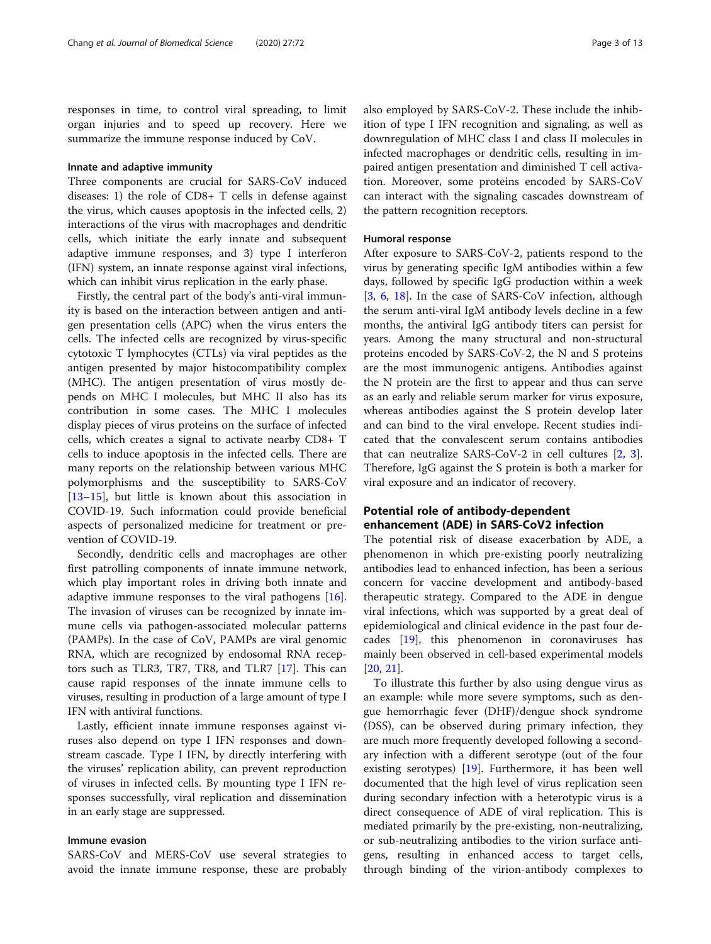responses in time, to control viral spreading, to limit organ injuries and to speed up recovery. Here we summarize the immune response induced by CoV.

#### Innate and adaptive immunity

Three components are crucial for SARS-CoV induced diseases: 1) the role of CD8+ T cells in defense against the virus, which causes apoptosis in the infected cells, 2) interactions of the virus with macrophages and dendritic cells, which initiate the early innate and subsequent adaptive immune responses, and 3) type I interferon (IFN) system, an innate response against viral infections, which can inhibit virus replication in the early phase.

Firstly, the central part of the body's anti-viral immunity is based on the interaction between antigen and antigen presentation cells (APC) when the virus enters the cells. The infected cells are recognized by virus-specific cytotoxic T lymphocytes (CTLs) via viral peptides as the antigen presented by major histocompatibility complex (MHC). The antigen presentation of virus mostly depends on MHC I molecules, but MHC II also has its contribution in some cases. The MHC I molecules display pieces of virus proteins on the surface of infected cells, which creates a signal to activate nearby CD8+ T cells to induce apoptosis in the infected cells. There are many reports on the relationship between various MHC polymorphisms and the susceptibility to SARS-CoV [[13](#page-10-0)–[15](#page-10-0)], but little is known about this association in COVID-19. Such information could provide beneficial aspects of personalized medicine for treatment or prevention of COVID-19.

Secondly, dendritic cells and macrophages are other first patrolling components of innate immune network, which play important roles in driving both innate and adaptive immune responses to the viral pathogens [\[16](#page-10-0)]. The invasion of viruses can be recognized by innate immune cells via pathogen-associated molecular patterns (PAMPs). In the case of CoV, PAMPs are viral genomic RNA, which are recognized by endosomal RNA receptors such as TLR3, TR7, TR8, and TLR7 [\[17](#page-10-0)]. This can cause rapid responses of the innate immune cells to viruses, resulting in production of a large amount of type I IFN with antiviral functions.

Lastly, efficient innate immune responses against viruses also depend on type I IFN responses and downstream cascade. Type I IFN, by directly interfering with the viruses' replication ability, can prevent reproduction of viruses in infected cells. By mounting type I IFN responses successfully, viral replication and dissemination in an early stage are suppressed.

# Immune evasion

SARS-CoV and MERS-CoV use several strategies to avoid the innate immune response, these are probably also employed by SARS-CoV-2. These include the inhibition of type I IFN recognition and signaling, as well as downregulation of MHC class I and class II molecules in infected macrophages or dendritic cells, resulting in impaired antigen presentation and diminished T cell activation. Moreover, some proteins encoded by SARS-CoV can interact with the signaling cascades downstream of the pattern recognition receptors.

#### Humoral response

After exposure to SARS-CoV-2, patients respond to the virus by generating specific IgM antibodies within a few days, followed by specific IgG production within a week [[3,](#page-10-0) [6,](#page-10-0) [18\]](#page-10-0). In the case of SARS-CoV infection, although the serum anti-viral IgM antibody levels decline in a few months, the antiviral IgG antibody titers can persist for years. Among the many structural and non-structural proteins encoded by SARS-CoV-2, the N and S proteins are the most immunogenic antigens. Antibodies against the N protein are the first to appear and thus can serve as an early and reliable serum marker for virus exposure, whereas antibodies against the S protein develop later and can bind to the viral envelope. Recent studies indicated that the convalescent serum contains antibodies that can neutralize SARS-CoV-2 in cell cultures [[2,](#page-10-0) [3](#page-10-0)]. Therefore, IgG against the S protein is both a marker for viral exposure and an indicator of recovery.

# Potential role of antibody-dependent enhancement (ADE) in SARS-CoV2 infection

The potential risk of disease exacerbation by ADE, a phenomenon in which pre-existing poorly neutralizing antibodies lead to enhanced infection, has been a serious concern for vaccine development and antibody-based therapeutic strategy. Compared to the ADE in dengue viral infections, which was supported by a great deal of epidemiological and clinical evidence in the past four decades [[19\]](#page-10-0), this phenomenon in coronaviruses has mainly been observed in cell-based experimental models [[20,](#page-10-0) [21\]](#page-10-0).

To illustrate this further by also using dengue virus as an example: while more severe symptoms, such as dengue hemorrhagic fever (DHF)/dengue shock syndrome (DSS), can be observed during primary infection, they are much more frequently developed following a secondary infection with a different serotype (out of the four existing serotypes) [\[19\]](#page-10-0). Furthermore, it has been well documented that the high level of virus replication seen during secondary infection with a heterotypic virus is a direct consequence of ADE of viral replication. This is mediated primarily by the pre-existing, non-neutralizing, or sub-neutralizing antibodies to the virion surface antigens, resulting in enhanced access to target cells, through binding of the virion-antibody complexes to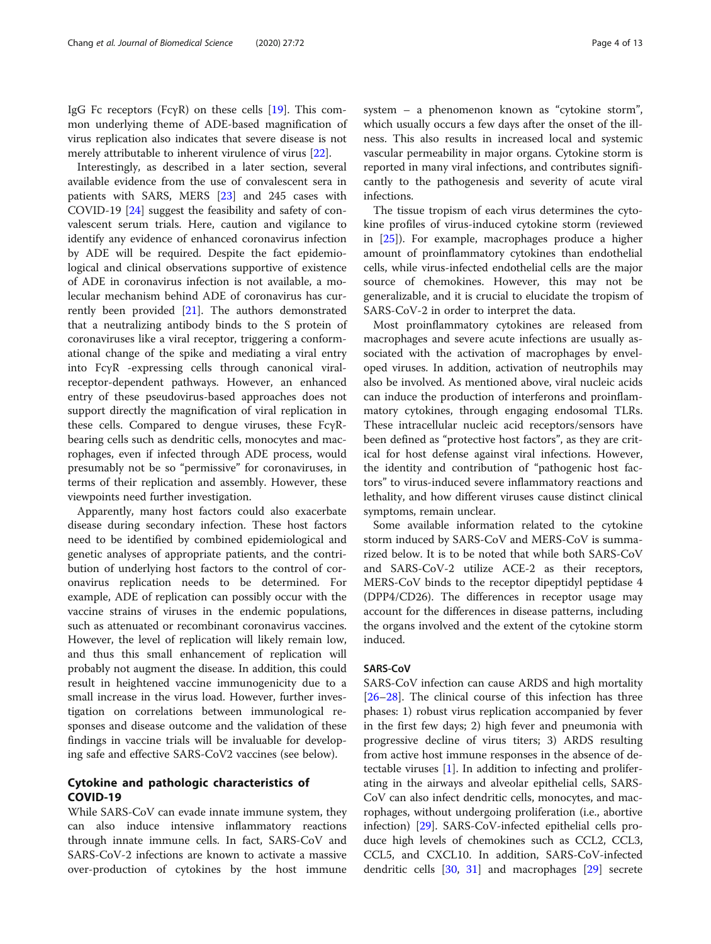IgG Fc receptors (FcγR) on these cells [[19](#page-10-0)]. This common underlying theme of ADE-based magnification of virus replication also indicates that severe disease is not merely attributable to inherent virulence of virus [[22\]](#page-10-0).

Interestingly, as described in a later section, several available evidence from the use of convalescent sera in patients with SARS, MERS [[23\]](#page-10-0) and 245 cases with COVID-19 [\[24\]](#page-10-0) suggest the feasibility and safety of convalescent serum trials. Here, caution and vigilance to identify any evidence of enhanced coronavirus infection by ADE will be required. Despite the fact epidemiological and clinical observations supportive of existence of ADE in coronavirus infection is not available, a molecular mechanism behind ADE of coronavirus has currently been provided [\[21](#page-10-0)]. The authors demonstrated that a neutralizing antibody binds to the S protein of coronaviruses like a viral receptor, triggering a conformational change of the spike and mediating a viral entry into FcγR -expressing cells through canonical viralreceptor-dependent pathways. However, an enhanced entry of these pseudovirus-based approaches does not support directly the magnification of viral replication in these cells. Compared to dengue viruses, these FcγRbearing cells such as dendritic cells, monocytes and macrophages, even if infected through ADE process, would presumably not be so "permissive" for coronaviruses, in terms of their replication and assembly. However, these viewpoints need further investigation.

Apparently, many host factors could also exacerbate disease during secondary infection. These host factors need to be identified by combined epidemiological and genetic analyses of appropriate patients, and the contribution of underlying host factors to the control of coronavirus replication needs to be determined. For example, ADE of replication can possibly occur with the vaccine strains of viruses in the endemic populations, such as attenuated or recombinant coronavirus vaccines. However, the level of replication will likely remain low, and thus this small enhancement of replication will probably not augment the disease. In addition, this could result in heightened vaccine immunogenicity due to a small increase in the virus load. However, further investigation on correlations between immunological responses and disease outcome and the validation of these findings in vaccine trials will be invaluable for developing safe and effective SARS-CoV2 vaccines (see below).

# Cytokine and pathologic characteristics of COVID-19

While SARS-CoV can evade innate immune system, they can also induce intensive inflammatory reactions through innate immune cells. In fact, SARS-CoV and SARS-CoV-2 infections are known to activate a massive over-production of cytokines by the host immune system – a phenomenon known as "cytokine storm", which usually occurs a few days after the onset of the illness. This also results in increased local and systemic vascular permeability in major organs. Cytokine storm is reported in many viral infections, and contributes significantly to the pathogenesis and severity of acute viral infections.

The tissue tropism of each virus determines the cytokine profiles of virus-induced cytokine storm (reviewed in [\[25\]](#page-10-0)). For example, macrophages produce a higher amount of proinflammatory cytokines than endothelial cells, while virus-infected endothelial cells are the major source of chemokines. However, this may not be generalizable, and it is crucial to elucidate the tropism of SARS-CoV-2 in order to interpret the data.

Most proinflammatory cytokines are released from macrophages and severe acute infections are usually associated with the activation of macrophages by enveloped viruses. In addition, activation of neutrophils may also be involved. As mentioned above, viral nucleic acids can induce the production of interferons and proinflammatory cytokines, through engaging endosomal TLRs. These intracellular nucleic acid receptors/sensors have been defined as "protective host factors", as they are critical for host defense against viral infections. However, the identity and contribution of "pathogenic host factors" to virus-induced severe inflammatory reactions and lethality, and how different viruses cause distinct clinical symptoms, remain unclear.

Some available information related to the cytokine storm induced by SARS-CoV and MERS-CoV is summarized below. It is to be noted that while both SARS-CoV and SARS-CoV-2 utilize ACE-2 as their receptors, MERS-CoV binds to the receptor dipeptidyl peptidase 4 (DPP4/CD26). The differences in receptor usage may account for the differences in disease patterns, including the organs involved and the extent of the cytokine storm induced.

# SARS-CoV

SARS-CoV infection can cause ARDS and high mortality [[26](#page-10-0)–[28](#page-10-0)]. The clinical course of this infection has three phases: 1) robust virus replication accompanied by fever in the first few days; 2) high fever and pneumonia with progressive decline of virus titers; 3) ARDS resulting from active host immune responses in the absence of detectable viruses [\[1\]](#page-10-0). In addition to infecting and proliferating in the airways and alveolar epithelial cells, SARS-CoV can also infect dendritic cells, monocytes, and macrophages, without undergoing proliferation (i.e., abortive infection) [[29](#page-10-0)]. SARS-CoV-infected epithelial cells produce high levels of chemokines such as CCL2, CCL3, CCL5, and CXCL10. In addition, SARS-CoV-infected dendritic cells [\[30](#page-10-0), [31](#page-10-0)] and macrophages [[29\]](#page-10-0) secrete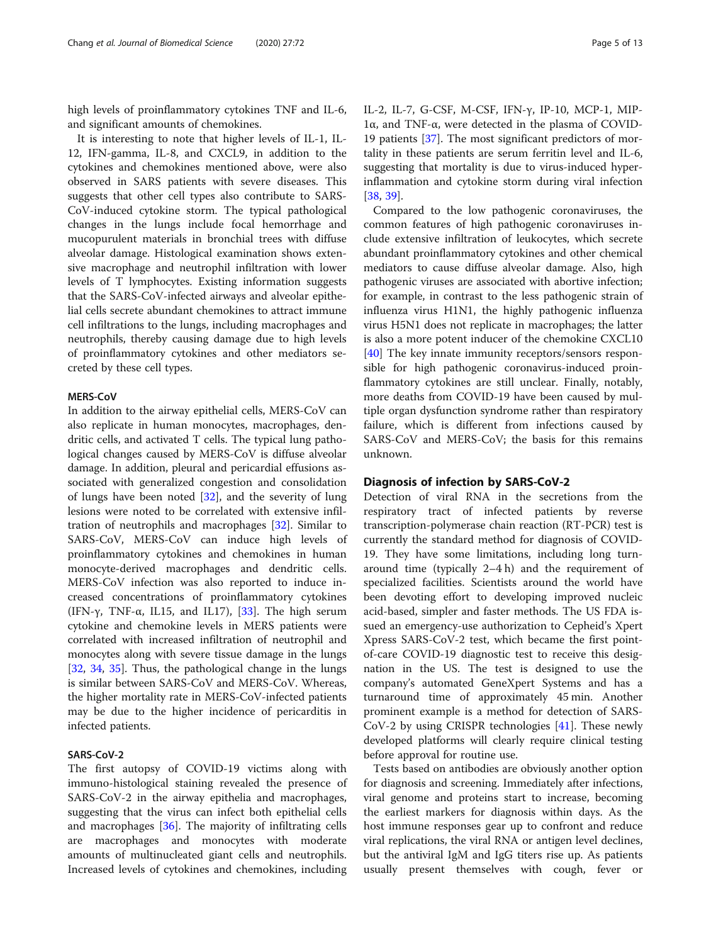high levels of proinflammatory cytokines TNF and IL-6, and significant amounts of chemokines.

It is interesting to note that higher levels of IL-1, IL-12, IFN-gamma, IL-8, and CXCL9, in addition to the cytokines and chemokines mentioned above, were also observed in SARS patients with severe diseases. This suggests that other cell types also contribute to SARS-CoV-induced cytokine storm. The typical pathological changes in the lungs include focal hemorrhage and mucopurulent materials in bronchial trees with diffuse alveolar damage. Histological examination shows extensive macrophage and neutrophil infiltration with lower levels of T lymphocytes. Existing information suggests that the SARS-CoV-infected airways and alveolar epithelial cells secrete abundant chemokines to attract immune cell infiltrations to the lungs, including macrophages and neutrophils, thereby causing damage due to high levels of proinflammatory cytokines and other mediators secreted by these cell types.

# MERS-CoV

In addition to the airway epithelial cells, MERS-CoV can also replicate in human monocytes, macrophages, dendritic cells, and activated T cells. The typical lung pathological changes caused by MERS-CoV is diffuse alveolar damage. In addition, pleural and pericardial effusions associated with generalized congestion and consolidation of lungs have been noted [[32\]](#page-10-0), and the severity of lung lesions were noted to be correlated with extensive infiltration of neutrophils and macrophages [\[32](#page-10-0)]. Similar to SARS-CoV, MERS-CoV can induce high levels of proinflammatory cytokines and chemokines in human monocyte-derived macrophages and dendritic cells. MERS-CoV infection was also reported to induce increased concentrations of proinflammatory cytokines (IFN-γ, TNF-α, IL15, and IL17), [\[33](#page-10-0)]. The high serum cytokine and chemokine levels in MERS patients were correlated with increased infiltration of neutrophil and monocytes along with severe tissue damage in the lungs [[32,](#page-10-0) [34](#page-10-0), [35](#page-10-0)]. Thus, the pathological change in the lungs is similar between SARS-CoV and MERS-CoV. Whereas, the higher mortality rate in MERS-CoV-infected patients may be due to the higher incidence of pericarditis in infected patients.

# SARS-CoV-2

The first autopsy of COVID-19 victims along with immuno-histological staining revealed the presence of SARS-CoV-2 in the airway epithelia and macrophages, suggesting that the virus can infect both epithelial cells and macrophages [\[36](#page-10-0)]. The majority of infiltrating cells are macrophages and monocytes with moderate amounts of multinucleated giant cells and neutrophils. Increased levels of cytokines and chemokines, including 1α, and TNF-α, were detected in the plasma of COVID-19 patients [\[37](#page-10-0)]. The most significant predictors of mortality in these patients are serum ferritin level and IL-6, suggesting that mortality is due to virus-induced hyperinflammation and cytokine storm during viral infection [[38,](#page-11-0) [39\]](#page-11-0).

Compared to the low pathogenic coronaviruses, the common features of high pathogenic coronaviruses include extensive infiltration of leukocytes, which secrete abundant proinflammatory cytokines and other chemical mediators to cause diffuse alveolar damage. Also, high pathogenic viruses are associated with abortive infection; for example, in contrast to the less pathogenic strain of influenza virus H1N1, the highly pathogenic influenza virus H5N1 does not replicate in macrophages; the latter is also a more potent inducer of the chemokine CXCL10 [[40\]](#page-11-0) The key innate immunity receptors/sensors responsible for high pathogenic coronavirus-induced proinflammatory cytokines are still unclear. Finally, notably, more deaths from COVID-19 have been caused by multiple organ dysfunction syndrome rather than respiratory failure, which is different from infections caused by SARS-CoV and MERS-CoV; the basis for this remains unknown.

# Diagnosis of infection by SARS-CoV-2

Detection of viral RNA in the secretions from the respiratory tract of infected patients by reverse transcription-polymerase chain reaction (RT-PCR) test is currently the standard method for diagnosis of COVID-19. They have some limitations, including long turnaround time (typically 2–4 h) and the requirement of specialized facilities. Scientists around the world have been devoting effort to developing improved nucleic acid-based, simpler and faster methods. The US FDA issued an emergency-use authorization to Cepheid's Xpert Xpress SARS-CoV-2 test, which became the first pointof-care COVID-19 diagnostic test to receive this designation in the US. The test is designed to use the company's automated GeneXpert Systems and has a turnaround time of approximately 45 min. Another prominent example is a method for detection of SARS- $CoV-2$  by using CRISPR technologies [[41\]](#page-11-0). These newly developed platforms will clearly require clinical testing before approval for routine use.

Tests based on antibodies are obviously another option for diagnosis and screening. Immediately after infections, viral genome and proteins start to increase, becoming the earliest markers for diagnosis within days. As the host immune responses gear up to confront and reduce viral replications, the viral RNA or antigen level declines, but the antiviral IgM and IgG titers rise up. As patients usually present themselves with cough, fever or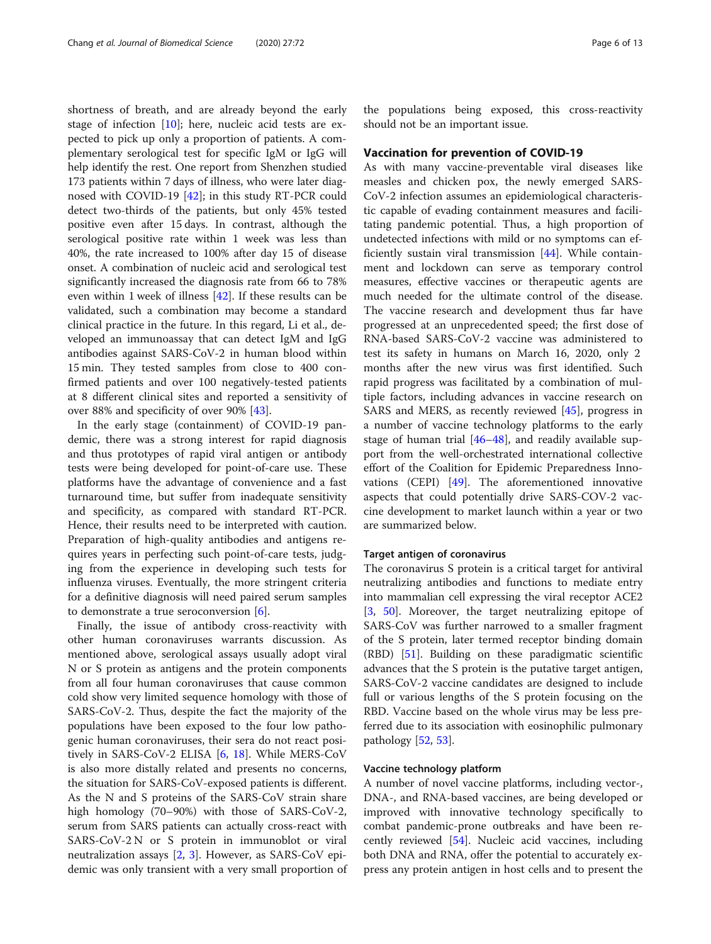shortness of breath, and are already beyond the early stage of infection [\[10](#page-10-0)]; here, nucleic acid tests are expected to pick up only a proportion of patients. A complementary serological test for specific IgM or IgG will help identify the rest. One report from Shenzhen studied 173 patients within 7 days of illness, who were later diagnosed with COVID-19 [[42\]](#page-11-0); in this study RT-PCR could detect two-thirds of the patients, but only 45% tested positive even after 15 days. In contrast, although the serological positive rate within 1 week was less than 40%, the rate increased to 100% after day 15 of disease onset. A combination of nucleic acid and serological test significantly increased the diagnosis rate from 66 to 78% even within 1 week of illness [\[42](#page-11-0)]. If these results can be validated, such a combination may become a standard clinical practice in the future. In this regard, Li et al., developed an immunoassay that can detect IgM and IgG antibodies against SARS-CoV-2 in human blood within 15 min. They tested samples from close to 400 confirmed patients and over 100 negatively-tested patients at 8 different clinical sites and reported a sensitivity of over 88% and specificity of over 90% [\[43](#page-11-0)].

In the early stage (containment) of COVID-19 pandemic, there was a strong interest for rapid diagnosis and thus prototypes of rapid viral antigen or antibody tests were being developed for point-of-care use. These platforms have the advantage of convenience and a fast turnaround time, but suffer from inadequate sensitivity and specificity, as compared with standard RT-PCR. Hence, their results need to be interpreted with caution. Preparation of high-quality antibodies and antigens requires years in perfecting such point-of-care tests, judging from the experience in developing such tests for influenza viruses. Eventually, the more stringent criteria for a definitive diagnosis will need paired serum samples to demonstrate a true seroconversion [\[6\]](#page-10-0).

Finally, the issue of antibody cross-reactivity with other human coronaviruses warrants discussion. As mentioned above, serological assays usually adopt viral N or S protein as antigens and the protein components from all four human coronaviruses that cause common cold show very limited sequence homology with those of SARS-CoV-2. Thus, despite the fact the majority of the populations have been exposed to the four low pathogenic human coronaviruses, their sera do not react positively in SARS-CoV-2 ELISA [\[6](#page-10-0), [18](#page-10-0)]. While MERS-CoV is also more distally related and presents no concerns, the situation for SARS-CoV-exposed patients is different. As the N and S proteins of the SARS-CoV strain share high homology (70–90%) with those of SARS-CoV-2, serum from SARS patients can actually cross-react with SARS-CoV-2 N or S protein in immunoblot or viral neutralization assays [[2,](#page-10-0) [3](#page-10-0)]. However, as SARS-CoV epidemic was only transient with a very small proportion of

the populations being exposed, this cross-reactivity should not be an important issue.

#### Vaccination for prevention of COVID-19

As with many vaccine-preventable viral diseases like measles and chicken pox, the newly emerged SARS-CoV-2 infection assumes an epidemiological characteristic capable of evading containment measures and facilitating pandemic potential. Thus, a high proportion of undetected infections with mild or no symptoms can efficiently sustain viral transmission [[44\]](#page-11-0). While containment and lockdown can serve as temporary control measures, effective vaccines or therapeutic agents are much needed for the ultimate control of the disease. The vaccine research and development thus far have progressed at an unprecedented speed; the first dose of RNA-based SARS-CoV-2 vaccine was administered to test its safety in humans on March 16, 2020, only 2 months after the new virus was first identified. Such rapid progress was facilitated by a combination of multiple factors, including advances in vaccine research on SARS and MERS, as recently reviewed [\[45](#page-11-0)], progress in a number of vaccine technology platforms to the early stage of human trial  $[46-48]$  $[46-48]$  $[46-48]$ , and readily available support from the well-orchestrated international collective effort of the Coalition for Epidemic Preparedness Innovations (CEPI) [[49\]](#page-11-0). The aforementioned innovative aspects that could potentially drive SARS-COV-2 vaccine development to market launch within a year or two are summarized below.

#### Target antigen of coronavirus

The coronavirus S protein is a critical target for antiviral neutralizing antibodies and functions to mediate entry into mammalian cell expressing the viral receptor ACE2 [[3,](#page-10-0) [50\]](#page-11-0). Moreover, the target neutralizing epitope of SARS-CoV was further narrowed to a smaller fragment of the S protein, later termed receptor binding domain (RBD) [\[51](#page-11-0)]. Building on these paradigmatic scientific advances that the S protein is the putative target antigen, SARS-CoV-2 vaccine candidates are designed to include full or various lengths of the S protein focusing on the RBD. Vaccine based on the whole virus may be less preferred due to its association with eosinophilic pulmonary pathology [[52,](#page-11-0) [53\]](#page-11-0).

#### Vaccine technology platform

A number of novel vaccine platforms, including vector-, DNA-, and RNA-based vaccines, are being developed or improved with innovative technology specifically to combat pandemic-prone outbreaks and have been recently reviewed [\[54](#page-11-0)]. Nucleic acid vaccines, including both DNA and RNA, offer the potential to accurately express any protein antigen in host cells and to present the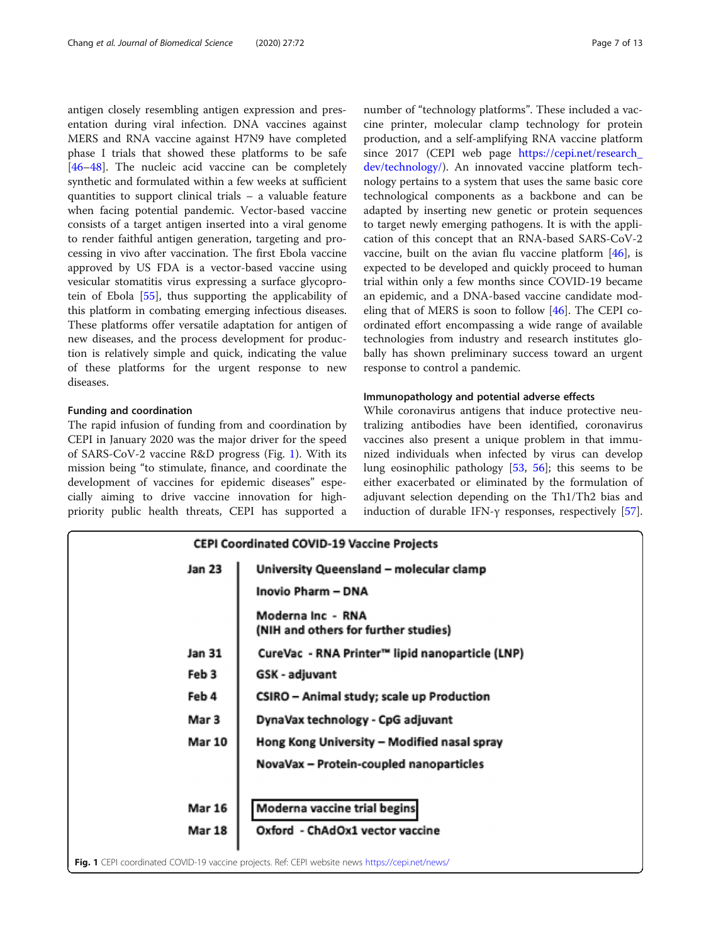antigen closely resembling antigen expression and presentation during viral infection. DNA vaccines against MERS and RNA vaccine against H7N9 have completed phase I trials that showed these platforms to be safe [[46](#page-11-0)–[48](#page-11-0)]. The nucleic acid vaccine can be completely synthetic and formulated within a few weeks at sufficient quantities to support clinical trials – a valuable feature when facing potential pandemic. Vector-based vaccine consists of a target antigen inserted into a viral genome to render faithful antigen generation, targeting and processing in vivo after vaccination. The first Ebola vaccine approved by US FDA is a vector-based vaccine using vesicular stomatitis virus expressing a surface glycoprotein of Ebola [\[55\]](#page-11-0), thus supporting the applicability of this platform in combating emerging infectious diseases. These platforms offer versatile adaptation for antigen of new diseases, and the process development for production is relatively simple and quick, indicating the value of these platforms for the urgent response to new diseases.

#### Funding and coordination

The rapid infusion of funding from and coordination by CEPI in January 2020 was the major driver for the speed of SARS-CoV-2 vaccine R&D progress (Fig. 1). With its mission being "to stimulate, finance, and coordinate the development of vaccines for epidemic diseases" especially aiming to drive vaccine innovation for highpriority public health threats, CEPI has supported a number of "technology platforms". These included a vaccine printer, molecular clamp technology for protein production, and a self-amplifying RNA vaccine platform since 2017 (CEPI web page [https://cepi.net/research\\_](https://cepi.net/research_dev/technology/) [dev/technology/\)](https://cepi.net/research_dev/technology/). An innovated vaccine platform technology pertains to a system that uses the same basic core technological components as a backbone and can be adapted by inserting new genetic or protein sequences to target newly emerging pathogens. It is with the application of this concept that an RNA-based SARS-CoV-2 vaccine, built on the avian flu vaccine platform [[46\]](#page-11-0), is expected to be developed and quickly proceed to human trial within only a few months since COVID-19 became an epidemic, and a DNA-based vaccine candidate modeling that of MERS is soon to follow [\[46\]](#page-11-0). The CEPI coordinated effort encompassing a wide range of available technologies from industry and research institutes globally has shown preliminary success toward an urgent response to control a pandemic.

#### Immunopathology and potential adverse effects

While coronavirus antigens that induce protective neutralizing antibodies have been identified, coronavirus vaccines also present a unique problem in that immunized individuals when infected by virus can develop lung eosinophilic pathology [[53](#page-11-0), [56](#page-11-0)]; this seems to be either exacerbated or eliminated by the formulation of adjuvant selection depending on the Th1/Th2 bias and induction of durable IFN-γ responses, respectively [\[57](#page-11-0)].

| <b>CEPI Coordinated COVID-19 Vaccine Projects</b> |                                                                                                         |  |  |
|---------------------------------------------------|---------------------------------------------------------------------------------------------------------|--|--|
| Jan 23                                            | University Queensland - molecular clamp                                                                 |  |  |
|                                                   | <b>Inovio Pharm - DNA</b>                                                                               |  |  |
|                                                   | Moderna Inc - RNA<br>(NIH and others for further studies)                                               |  |  |
| Jan 31                                            | CureVac - RNA Printer™ lipid nanoparticle (LNP)                                                         |  |  |
| Feb 3                                             | GSK - adjuvant                                                                                          |  |  |
| Feb 4                                             | CSIRO - Animal study; scale up Production                                                               |  |  |
| Mar 3                                             | DynaVax technology - CpG adjuvant                                                                       |  |  |
| <b>Mar 10</b>                                     | Hong Kong University - Modified nasal spray                                                             |  |  |
|                                                   | NovaVax - Protein-coupled nanoparticles                                                                 |  |  |
| <b>Mar 16</b>                                     | Moderna vaccine trial begins                                                                            |  |  |
| <b>Mar 18</b>                                     | Oxford - ChAdOx1 vector vaccine                                                                         |  |  |
|                                                   | <b>Fig. 1</b> CEPI coordinated COVID-19 vaccine projects. Ref: CEPI website news https://cepi.net/news/ |  |  |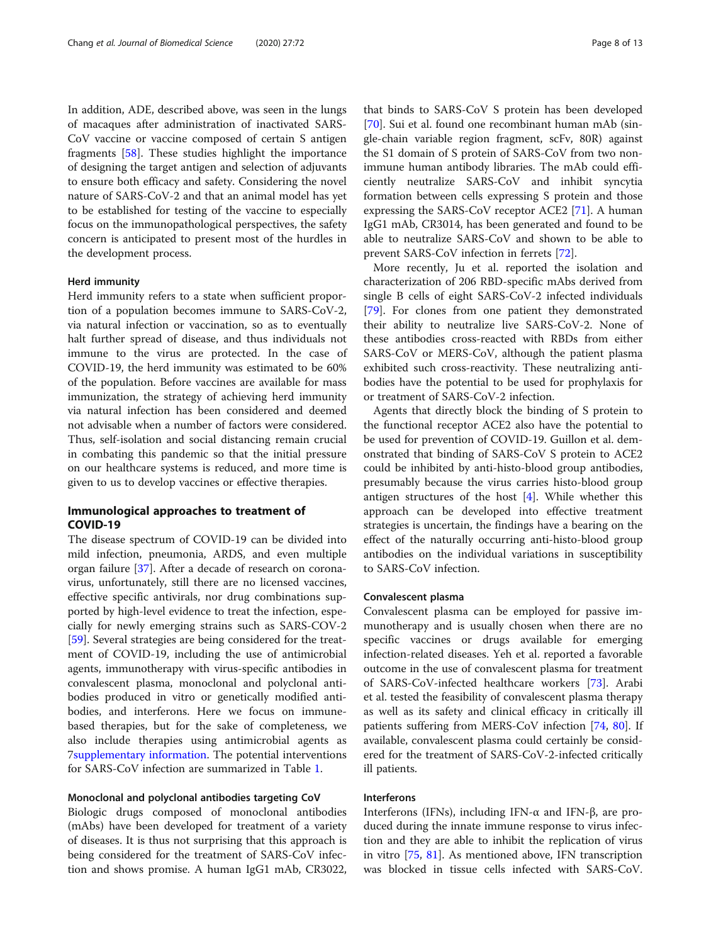In addition, ADE, described above, was seen in the lungs of macaques after administration of inactivated SARS-CoV vaccine or vaccine composed of certain S antigen fragments [[58\]](#page-11-0). These studies highlight the importance of designing the target antigen and selection of adjuvants to ensure both efficacy and safety. Considering the novel nature of SARS-CoV-2 and that an animal model has yet to be established for testing of the vaccine to especially focus on the immunopathological perspectives, the safety concern is anticipated to present most of the hurdles in the development process.

#### Herd immunity

Herd immunity refers to a state when sufficient proportion of a population becomes immune to SARS-CoV-2, via natural infection or vaccination, so as to eventually halt further spread of disease, and thus individuals not immune to the virus are protected. In the case of COVID-19, the herd immunity was estimated to be 60% of the population. Before vaccines are available for mass immunization, the strategy of achieving herd immunity via natural infection has been considered and deemed not advisable when a number of factors were considered. Thus, self-isolation and social distancing remain crucial in combating this pandemic so that the initial pressure on our healthcare systems is reduced, and more time is given to us to develop vaccines or effective therapies.

# Immunological approaches to treatment of COVID-19

The disease spectrum of COVID-19 can be divided into mild infection, pneumonia, ARDS, and even multiple organ failure [\[37](#page-10-0)]. After a decade of research on coronavirus, unfortunately, still there are no licensed vaccines, effective specific antivirals, nor drug combinations supported by high-level evidence to treat the infection, especially for newly emerging strains such as SARS-COV-2 [[59\]](#page-11-0). Several strategies are being considered for the treatment of COVID-19, including the use of antimicrobial agents, immunotherapy with virus-specific antibodies in convalescent plasma, monoclonal and polyclonal antibodies produced in vitro or genetically modified antibodies, and interferons. Here we focus on immunebased therapies, but for the sake of completeness, we also include therapies using antimicrobial agents as 7[supplementary information](#page-9-0). The potential interventions for SARS-CoV infection are summarized in Table [1](#page-8-0).

#### Monoclonal and polyclonal antibodies targeting CoV

Biologic drugs composed of monoclonal antibodies (mAbs) have been developed for treatment of a variety of diseases. It is thus not surprising that this approach is being considered for the treatment of SARS-CoV infection and shows promise. A human IgG1 mAb, CR3022,

that binds to SARS-CoV S protein has been developed [[70\]](#page-11-0). Sui et al. found one recombinant human mAb (single-chain variable region fragment, scFv, 80R) against the S1 domain of S protein of SARS-CoV from two nonimmune human antibody libraries. The mAb could efficiently neutralize SARS-CoV and inhibit syncytia formation between cells expressing S protein and those expressing the SARS-CoV receptor ACE2 [[71\]](#page-11-0). A human IgG1 mAb, CR3014, has been generated and found to be able to neutralize SARS-CoV and shown to be able to prevent SARS-CoV infection in ferrets [\[72](#page-11-0)].

More recently, Ju et al. reported the isolation and characterization of 206 RBD-specific mAbs derived from single B cells of eight SARS-CoV-2 infected individuals [[79\]](#page-12-0). For clones from one patient they demonstrated their ability to neutralize live SARS-CoV-2. None of these antibodies cross-reacted with RBDs from either SARS-CoV or MERS-CoV, although the patient plasma exhibited such cross-reactivity. These neutralizing antibodies have the potential to be used for prophylaxis for or treatment of SARS-CoV-2 infection.

Agents that directly block the binding of S protein to the functional receptor ACE2 also have the potential to be used for prevention of COVID-19. Guillon et al. demonstrated that binding of SARS-CoV S protein to ACE2 could be inhibited by anti-histo-blood group antibodies, presumably because the virus carries histo-blood group antigen structures of the host  $[4]$  $[4]$ . While whether this approach can be developed into effective treatment strategies is uncertain, the findings have a bearing on the effect of the naturally occurring anti-histo-blood group antibodies on the individual variations in susceptibility to SARS-CoV infection.

#### Convalescent plasma

Convalescent plasma can be employed for passive immunotherapy and is usually chosen when there are no specific vaccines or drugs available for emerging infection-related diseases. Yeh et al. reported a favorable outcome in the use of convalescent plasma for treatment of SARS-CoV-infected healthcare workers [[73\]](#page-12-0). Arabi et al. tested the feasibility of convalescent plasma therapy as well as its safety and clinical efficacy in critically ill patients suffering from MERS-CoV infection [[74,](#page-12-0) [80](#page-12-0)]. If available, convalescent plasma could certainly be considered for the treatment of SARS-CoV-2-infected critically ill patients.

#### Interferons

Interferons (IFNs), including IFN-α and IFN-β, are produced during the innate immune response to virus infection and they are able to inhibit the replication of virus in vitro [[75,](#page-12-0) [81](#page-12-0)]. As mentioned above, IFN transcription was blocked in tissue cells infected with SARS-CoV.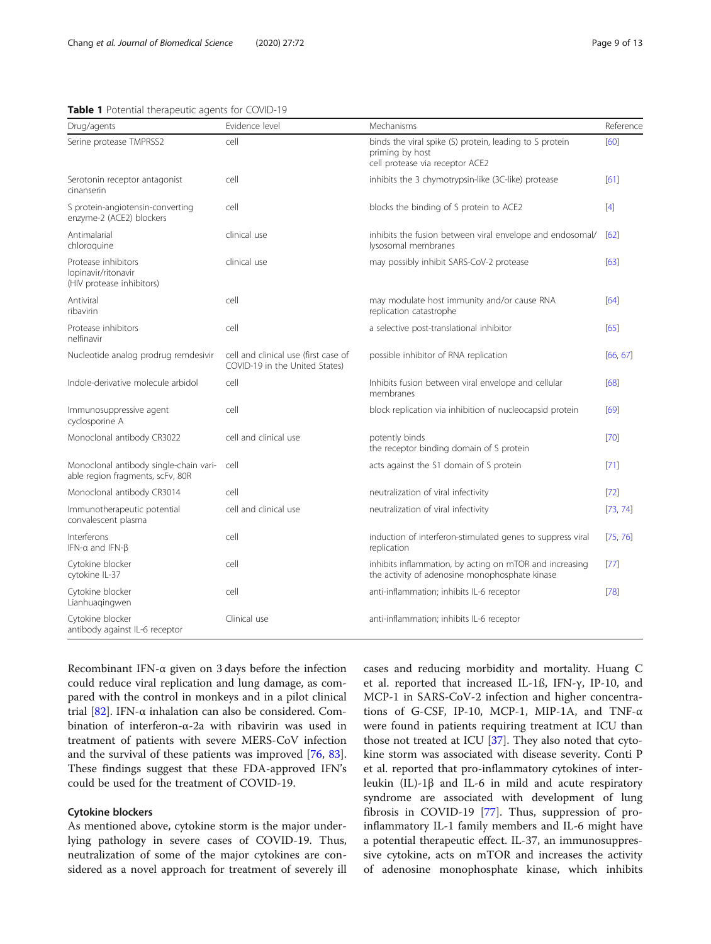#### <span id="page-8-0"></span>Table 1 Potential therapeutic agents for COVID-19

| Drug/agents                                                                | Evidence level                                                         | Mechanisms                                                                                                    | Reference         |
|----------------------------------------------------------------------------|------------------------------------------------------------------------|---------------------------------------------------------------------------------------------------------------|-------------------|
| Serine protease TMPRSS2                                                    | cell                                                                   | binds the viral spike (S) protein, leading to S protein<br>priming by host<br>cell protease via receptor ACE2 | [60]              |
| Serotonin receptor antagonist<br>cinanserin                                | cell                                                                   | inhibits the 3 chymotrypsin-like (3C-like) protease                                                           | [61]              |
| S protein-angiotensin-converting<br>enzyme-2 (ACE2) blockers               | cell                                                                   | blocks the binding of S protein to ACE2                                                                       | $\lceil 4 \rceil$ |
| Antimalarial<br>chloroquine                                                | clinical use                                                           | inhibits the fusion between viral envelope and endosomal/<br>lysosomal membranes                              | [62]              |
| Protease inhibitors<br>lopinavir/ritonavir<br>(HIV protease inhibitors)    | clinical use                                                           | may possibly inhibit SARS-CoV-2 protease                                                                      | [63]              |
| Antiviral<br>ribavirin                                                     | cell                                                                   | may modulate host immunity and/or cause RNA<br>replication catastrophe                                        | [64]              |
| Protease inhibitors<br>nelfinavir                                          | cell                                                                   | a selective post-translational inhibitor                                                                      | [65]              |
| Nucleotide analog prodrug remdesivir                                       | cell and clinical use (first case of<br>COVID-19 in the United States) | possible inhibitor of RNA replication                                                                         | [66, 67]          |
| Indole-derivative molecule arbidol                                         | cell                                                                   | Inhibits fusion between viral envelope and cellular<br>membranes                                              | [68]              |
| Immunosuppressive agent<br>cyclosporine A                                  | cell                                                                   | block replication via inhibition of nucleocapsid protein                                                      | [69]              |
| Monoclonal antibody CR3022                                                 | cell and clinical use                                                  | potently binds<br>the receptor binding domain of S protein                                                    | [70]              |
| Monoclonal antibody single-chain vari-<br>able region fragments, scFv, 80R | cell                                                                   | acts against the S1 domain of S protein                                                                       | [71]              |
| Monoclonal antibody CR3014                                                 | cell                                                                   | neutralization of viral infectivity                                                                           | $[72]$            |
| Immunotherapeutic potential<br>convalescent plasma                         | cell and clinical use                                                  | neutralization of viral infectivity                                                                           | [73, 74]          |
| Interferons<br>IFN-a and IFN-ß                                             | cell                                                                   | induction of interferon-stimulated genes to suppress viral<br>replication                                     | [75, 76]          |
| Cytokine blocker<br>cytokine IL-37                                         | cell                                                                   | inhibits inflammation, by acting on mTOR and increasing<br>the activity of adenosine monophosphate kinase     | $[77]$            |
| Cytokine blocker<br>Lianhuagingwen                                         | cell                                                                   | anti-inflammation; inhibits IL-6 receptor                                                                     | [78]              |
| Cytokine blocker<br>antibody against IL-6 receptor                         | Clinical use                                                           | anti-inflammation; inhibits IL-6 receptor                                                                     |                   |

Recombinant IFN-α given on 3 days before the infection could reduce viral replication and lung damage, as compared with the control in monkeys and in a pilot clinical trial  $[82]$  $[82]$ . IFN-α inhalation can also be considered. Combination of interferon-α-2a with ribavirin was used in treatment of patients with severe MERS-CoV infection and the survival of these patients was improved [\[76](#page-12-0), [83](#page-12-0)]. These findings suggest that these FDA-approved IFN's could be used for the treatment of COVID-19.

# Cytokine blockers

As mentioned above, cytokine storm is the major underlying pathology in severe cases of COVID-19. Thus, neutralization of some of the major cytokines are considered as a novel approach for treatment of severely ill

cases and reducing morbidity and mortality. Huang C et al. reported that increased IL-1ß, IFN-γ, IP-10, and MCP-1 in SARS-CoV-2 infection and higher concentrations of G-CSF, IP-10, MCP-1, MIP-1A, and TNF-α were found in patients requiring treatment at ICU than those not treated at ICU [[37\]](#page-10-0). They also noted that cytokine storm was associated with disease severity. Conti P et al. reported that pro-inflammatory cytokines of interleukin (IL)-1β and IL-6 in mild and acute respiratory syndrome are associated with development of lung fibrosis in COVID-19 [[77\]](#page-12-0). Thus, suppression of proinflammatory IL-1 family members and IL-6 might have a potential therapeutic effect. IL-37, an immunosuppressive cytokine, acts on mTOR and increases the activity of adenosine monophosphate kinase, which inhibits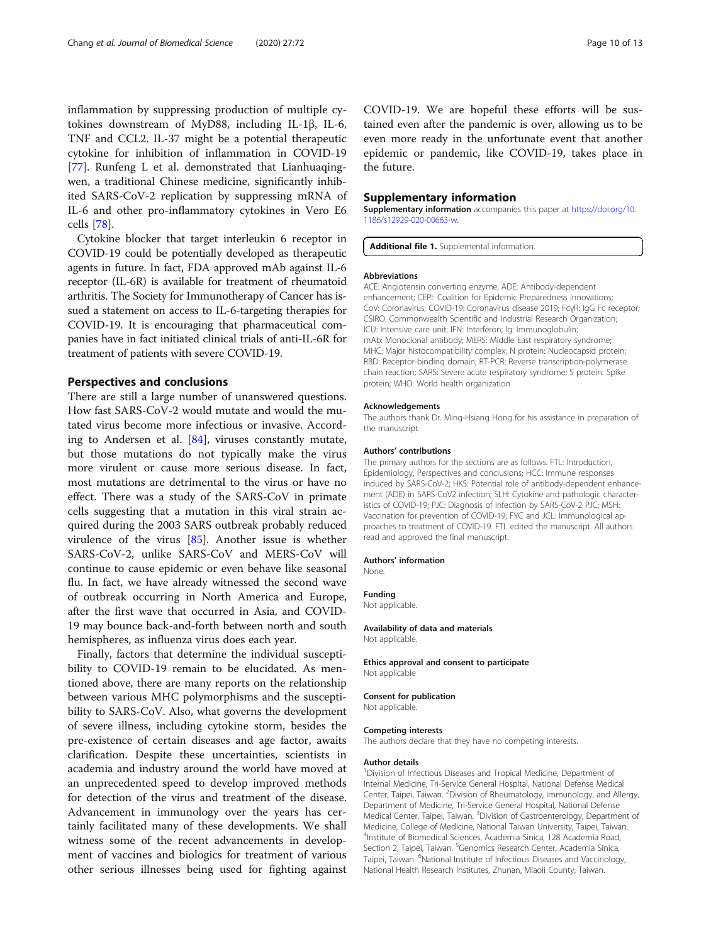<span id="page-9-0"></span>inflammation by suppressing production of multiple cytokines downstream of MyD88, including IL-1β, IL-6, TNF and CCL2. IL-37 might be a potential therapeutic cytokine for inhibition of inflammation in COVID-19 [[77\]](#page-12-0). Runfeng L et al. demonstrated that Lianhuaqingwen, a traditional Chinese medicine, significantly inhibited SARS-CoV-2 replication by suppressing mRNA of IL-6 and other pro-inflammatory cytokines in Vero E6 cells [[78](#page-12-0)].

Cytokine blocker that target interleukin 6 receptor in COVID-19 could be potentially developed as therapeutic agents in future. In fact, FDA approved mAb against IL-6 receptor (IL-6R) is available for treatment of rheumatoid arthritis. The Society for Immunotherapy of Cancer has issued a statement on access to IL-6-targeting therapies for COVID-19. It is encouraging that pharmaceutical companies have in fact initiated clinical trials of anti-IL-6R for treatment of patients with severe COVID-19.

#### Perspectives and conclusions

There are still a large number of unanswered questions. How fast SARS-CoV-2 would mutate and would the mutated virus become more infectious or invasive. According to Andersen et al. [[84](#page-12-0)], viruses constantly mutate, but those mutations do not typically make the virus more virulent or cause more serious disease. In fact, most mutations are detrimental to the virus or have no effect. There was a study of the SARS-CoV in primate cells suggesting that a mutation in this viral strain acquired during the 2003 SARS outbreak probably reduced virulence of the virus [[85\]](#page-12-0). Another issue is whether SARS-CoV-2, unlike SARS-CoV and MERS-CoV will continue to cause epidemic or even behave like seasonal flu. In fact, we have already witnessed the second wave of outbreak occurring in North America and Europe, after the first wave that occurred in Asia, and COVID-19 may bounce back-and-forth between north and south hemispheres, as influenza virus does each year.

Finally, factors that determine the individual susceptibility to COVID-19 remain to be elucidated. As mentioned above, there are many reports on the relationship between various MHC polymorphisms and the susceptibility to SARS-CoV. Also, what governs the development of severe illness, including cytokine storm, besides the pre-existence of certain diseases and age factor, awaits clarification. Despite these uncertainties, scientists in academia and industry around the world have moved at an unprecedented speed to develop improved methods for detection of the virus and treatment of the disease. Advancement in immunology over the years has certainly facilitated many of these developments. We shall witness some of the recent advancements in development of vaccines and biologics for treatment of various other serious illnesses being used for fighting against

#### Supplementary information

Supplementary information accompanies this paper at [https://doi.org/10.](https://doi.org/10.1186/s12929-020-00663-w) [1186/s12929-020-00663-w](https://doi.org/10.1186/s12929-020-00663-w).

Additional file 1. Supplemental information.

#### Abbreviations

ACE: Angiotensin converting enzyme; ADE: Antibody-dependent enhancement; CEPI: Coalition for Epidemic Preparedness Innovations; CoV: Coronavirus; COVID-19: Coronavirus disease 2019; FcγR: IgG Fc receptor; CSIRO: Commonwealth Scientific and Industrial Research Organization; ICU: Intensive care unit; IFN: Interferon; Ig: Immunoglobulin; mAb: Monoclonal antibody; MERS: Middle East respiratory syndrome; MHC: Major histocompatibility complex; N protein: Nucleocapsid protein; RBD: Receptor-binding domain; RT-PCR: Reverse transcription-polymerase chain reaction; SARS: Severe acute respiratory syndrome; S protein: Spike protein; WHO: World health organization

#### Acknowledgements

The authors thank Dr. Ming-Hsiang Hong for his assistance in preparation of the manuscript.

#### Authors' contributions

The primary authors for the sections are as follows. FTL: Introduction, Epidemiology, Perspectives and conclusions; HCC: Immune responses induced by SARS-CoV-2; HKS: Potential role of antibody-dependent enhancement (ADE) in SARS-CoV2 infection; SLH: Cytokine and pathologic characteristics of COVID-19; PJC: Diagnosis of infection by SARS-CoV-2 PJC; MSH: Vaccination for prevention of COVID-19; FYC and JCL: Immunological approaches to treatment of COVID-19. FTL edited the manuscript. All authors read and approved the final manuscript.

#### Authors' information

None.

Funding

Not applicable.

Availability of data and materials Not applicable.

Ethics approval and consent to participate Not applicable

#### Consent for publication

Not applicable.

#### Competing interests

The authors declare that they have no competing interests.

#### Author details

<sup>1</sup> Division of Infectious Diseases and Tropical Medicine, Department of Internal Medicine, Tri-Service General Hospital, National Defense Medical Center, Taipei, Taiwan. <sup>2</sup> Division of Rheumatology, Immunology, and Allergy Department of Medicine, Tri-Service General Hospital, National Defense Medical Center, Taipei, Taiwan. <sup>3</sup> Division of Gastroenterology, Department of Medicine, College of Medicine, National Taiwan University, Taipei, Taiwan. 4 Institute of Biomedical Sciences, Academia Sinica, 128 Academia Road, Section 2, Taipei, Taiwan. <sup>5</sup>Genomics Research Center, Academia Sinica, Taipei, Taiwan. <sup>6</sup>National Institute of Infectious Diseases and Vaccinology, National Health Research Institutes, Zhunan, Miaoli County, Taiwan.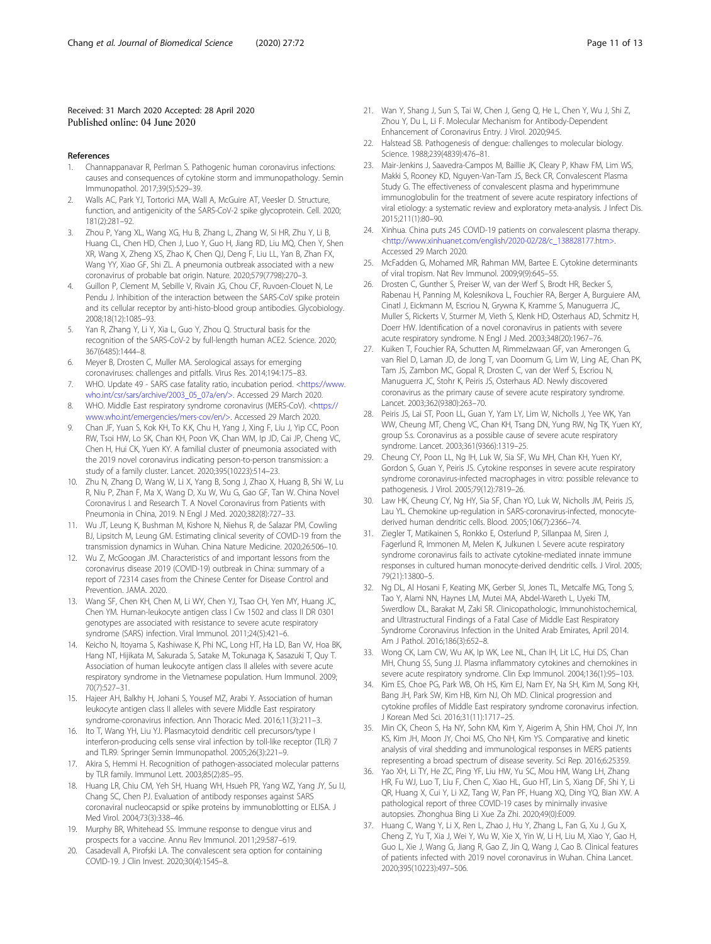#### <span id="page-10-0"></span>Received: 31 March 2020 Accepted: 28 April 2020 Published online: 04 June 2020

#### References

- 1. Channappanavar R, Perlman S. Pathogenic human coronavirus infections: causes and consequences of cytokine storm and immunopathology. Semin Immunopathol. 2017;39(5):529–39.
- 2. Walls AC, Park YJ, Tortorici MA, Wall A, McGuire AT, Veesler D. Structure, function, and antigenicity of the SARS-CoV-2 spike glycoprotein. Cell. 2020; 181(2):281–92.
- 3. Zhou P, Yang XL, Wang XG, Hu B, Zhang L, Zhang W, Si HR, Zhu Y, Li B, Huang CL, Chen HD, Chen J, Luo Y, Guo H, Jiang RD, Liu MQ, Chen Y, Shen XR, Wang X, Zheng XS, Zhao K, Chen QJ, Deng F, Liu LL, Yan B, Zhan FX, Wang YY, Xiao GF, Shi ZL. A pneumonia outbreak associated with a new coronavirus of probable bat origin. Nature. 2020;579(7798):270–3.
- 4. Guillon P, Clement M, Sebille V, Rivain JG, Chou CF, Ruvoen-Clouet N, Le Pendu J. Inhibition of the interaction between the SARS-CoV spike protein and its cellular receptor by anti-histo-blood group antibodies. Glycobiology. 2008;18(12):1085–93.
- Yan R, Zhang Y, Li Y, Xia L, Guo Y, Zhou Q. Structural basis for the recognition of the SARS-CoV-2 by full-length human ACE2. Science. 2020; 367(6485):1444–8.
- 6. Meyer B, Drosten C, Muller MA. Serological assays for emerging coronaviruses: challenges and pitfalls. Virus Res. 2014;194:175–83.
- 7. WHO. Update 49 SARS case fatality ratio, incubation period. [<https://www.](https://www.who.int/csr/sars/archive/2003_05_07a/en/%3e) [who.int/csr/sars/archive/2003\\_05\\_07a/en/>](https://www.who.int/csr/sars/archive/2003_05_07a/en/%3e). Accessed 29 March 2020.
- 8. WHO. Middle East respiratory syndrome coronavirus (MERS-CoV). <[https://](https://www.who.int/emergencies/mers-cov/en/%3e) [www.who.int/emergencies/mers-cov/en/>](https://www.who.int/emergencies/mers-cov/en/%3e). Accessed 29 March 2020.
- 9. Chan JF, Yuan S, Kok KH, To K.K, Chu H, Yang J, Xing F, Liu J, Yip CC, Poon RW, Tsoi HW, Lo SK, Chan KH, Poon VK, Chan WM, Ip JD, Cai JP, Cheng VC, Chen H, Hui CK, Yuen KY. A familial cluster of pneumonia associated with the 2019 novel coronavirus indicating person-to-person transmission: a study of a family cluster. Lancet. 2020;395(10223):514–23.
- 10. Zhu N, Zhang D, Wang W, Li X, Yang B, Song J, Zhao X, Huang B, Shi W, Lu R, Niu P, Zhan F, Ma X, Wang D, Xu W, Wu G, Gao GF, Tan W. China Novel Coronavirus I. and Research T. A Novel Coronavirus from Patients with Pneumonia in China, 2019. N Engl J Med. 2020;382(8):727–33.
- 11. Wu JT, Leung K, Bushman M, Kishore N, Niehus R, de Salazar PM, Cowling BJ, Lipsitch M, Leung GM. Estimating clinical severity of COVID-19 from the transmission dynamics in Wuhan. China Nature Medicine. 2020;26:506–10.
- 12. Wu Z, McGoogan JM. Characteristics of and important lessons from the coronavirus disease 2019 (COVID-19) outbreak in China: summary of a report of 72314 cases from the Chinese Center for Disease Control and Prevention. JAMA. 2020.
- 13. Wang SF, Chen KH, Chen M, Li WY, Chen YJ, Tsao CH, Yen MY, Huang JC, Chen YM. Human-leukocyte antigen class I Cw 1502 and class II DR 0301 genotypes are associated with resistance to severe acute respiratory syndrome (SARS) infection. Viral Immunol. 2011;24(5):421–6.
- 14. Keicho N, Itoyama S, Kashiwase K, Phi NC, Long HT, Ha LD, Ban VV, Hoa BK, Hang NT, Hijikata M, Sakurada S, Satake M, Tokunaga K, Sasazuki T, Quy T. Association of human leukocyte antigen class II alleles with severe acute respiratory syndrome in the Vietnamese population. Hum Immunol. 2009; 70(7):527–31.
- 15. Hajeer AH, Balkhy H, Johani S, Yousef MZ, Arabi Y. Association of human leukocyte antigen class II alleles with severe Middle East respiratory syndrome-coronavirus infection. Ann Thoracic Med. 2016;11(3):211–3.
- 16. Ito T, Wang YH, Liu YJ. Plasmacytoid dendritic cell precursors/type I interferon-producing cells sense viral infection by toll-like receptor (TLR) 7 and TLR9. Springer Semin Immunopathol. 2005;26(3):221–9.
- 17. Akira S, Hemmi H. Recognition of pathogen-associated molecular patterns by TLR family. Immunol Lett. 2003;85(2):85–95.
- 18. Huang LR, Chiu CM, Yeh SH, Huang WH, Hsueh PR, Yang WZ, Yang JY, Su IJ, Chang SC, Chen PJ. Evaluation of antibody responses against SARS coronaviral nucleocapsid or spike proteins by immunoblotting or ELISA. J Med Virol. 2004;73(3):338–46.
- 19. Murphy BR, Whitehead SS. Immune response to dengue virus and prospects for a vaccine. Annu Rev Immunol. 2011;29:587–619.
- 20. Casadevall A, Pirofski LA. The convalescent sera option for containing COVID-19. J Clin Invest. 2020;30(4):1545–8.
- 21. Wan Y, Shang J, Sun S, Tai W, Chen J, Geng Q, He L, Chen Y, Wu J, Shi Z, Zhou Y, Du L, Li F. Molecular Mechanism for Antibody-Dependent Enhancement of Coronavirus Entry. J Virol. 2020;94:5.
- 22. Halstead SB. Pathogenesis of dengue: challenges to molecular biology. Science. 1988;239(4839):476–81.
- 23. Mair-Jenkins J, Saavedra-Campos M, Baillie JK, Cleary P, Khaw FM, Lim WS, Makki S, Rooney KD, Nguyen-Van-Tam JS, Beck CR, Convalescent Plasma Study G. The effectiveness of convalescent plasma and hyperimmune immunoglobulin for the treatment of severe acute respiratory infections of viral etiology: a systematic review and exploratory meta-analysis. J Infect Dis. 2015;211(1):80–90.
- 24. Xinhua. China puts 245 COVID-19 patients on convalescent plasma therapy. <[http://www.xinhuanet.com/english/2020-02/28/c\\_138828177.htm>.](http://www.xinhuanet.com/english/2020-02/28/c_138828177.htm%3e) Accessed 29 March 2020.
- 25. McFadden G, Mohamed MR, Rahman MM, Bartee E. Cytokine determinants of viral tropism. Nat Rev Immunol. 2009;9(9):645–55.
- 26. Drosten C, Gunther S, Preiser W, van der Werf S, Brodt HR, Becker S, Rabenau H, Panning M, Kolesnikova L, Fouchier RA, Berger A, Burguiere AM, Cinatl J, Eickmann M, Escriou N, Grywna K, Kramme S, Manuguerra JC, Muller S, Rickerts V, Sturmer M, Vieth S, Klenk HD, Osterhaus AD, Schmitz H, Doerr HW. Identification of a novel coronavirus in patients with severe acute respiratory syndrome. N Engl J Med. 2003;348(20):1967–76.
- 27. Kuiken T, Fouchier RA, Schutten M, Rimmelzwaan GF, van Amerongen G, van Riel D, Laman JD, de Jong T, van Doornum G, Lim W, Ling AE, Chan PK, Tam JS, Zambon MC, Gopal R, Drosten C, van der Werf S, Escriou N, Manuguerra JC, Stohr K, Peiris JS, Osterhaus AD. Newly discovered coronavirus as the primary cause of severe acute respiratory syndrome. Lancet. 2003;362(9380):263–70.
- 28. Peiris JS, Lai ST, Poon LL, Guan Y, Yam LY, Lim W, Nicholls J, Yee WK, Yan WW, Cheung MT, Cheng VC, Chan KH, Tsang DN, Yung RW, Ng TK, Yuen KY, group S.s. Coronavirus as a possible cause of severe acute respiratory syndrome. Lancet. 2003;361(9366):1319–25.
- 29. Cheung CY, Poon LL, Ng IH, Luk W, Sia SF, Wu MH, Chan KH, Yuen KY, Gordon S, Guan Y, Peiris JS. Cytokine responses in severe acute respiratory syndrome coronavirus-infected macrophages in vitro: possible relevance to pathogenesis. J Virol. 2005;79(12):7819–26.
- 30. Law HK, Cheung CY, Ng HY, Sia SF, Chan YO, Luk W, Nicholls JM, Peiris JS, Lau YL. Chemokine up-regulation in SARS-coronavirus-infected, monocytederived human dendritic cells. Blood. 2005;106(7):2366–74.
- 31. Ziegler T, Matikainen S, Ronkko E, Osterlund P, Sillanpaa M, Siren J, Fagerlund R, Immonen M, Melen K, Julkunen I. Severe acute respiratory syndrome coronavirus fails to activate cytokine-mediated innate immune responses in cultured human monocyte-derived dendritic cells. J Virol. 2005; 79(21):13800–5.
- 32. Ng DL, Al Hosani F, Keating MK, Gerber SI, Jones TL, Metcalfe MG, Tong S, Tao Y, Alami NN, Haynes LM, Mutei MA, Abdel-Wareth L, Uyeki TM, Swerdlow DL, Barakat M, Zaki SR. Clinicopathologic, Immunohistochemical, and Ultrastructural Findings of a Fatal Case of Middle East Respiratory Syndrome Coronavirus Infection in the United Arab Emirates, April 2014. Am J Pathol. 2016;186(3):652–8.
- 33. Wong CK, Lam CW, Wu AK, Ip WK, Lee NL, Chan IH, Lit LC, Hui DS, Chan MH, Chung SS, Sung JJ. Plasma inflammatory cytokines and chemokines in severe acute respiratory syndrome. Clin Exp Immunol. 2004;136(1):95–103.
- 34. Kim ES, Choe PG, Park WB, Oh HS, Kim EJ, Nam EY, Na SH, Kim M, Song KH, Bang JH, Park SW, Kim HB, Kim NJ, Oh MD. Clinical progression and cytokine profiles of Middle East respiratory syndrome coronavirus infection. J Korean Med Sci. 2016;31(11):1717–25.
- 35. Min CK, Cheon S, Ha NY, Sohn KM, Kim Y, Aigerim A, Shin HM, Choi JY, Inn KS, Kim JH, Moon JY, Choi MS, Cho NH, Kim YS. Comparative and kinetic analysis of viral shedding and immunological responses in MERS patients representing a broad spectrum of disease severity. Sci Rep. 2016;6:25359.
- 36. Yao XH, Li TY, He ZC, Ping YF, Liu HW, Yu SC, Mou HM, Wang LH, Zhang HR, Fu WJ, Luo T, Liu F, Chen C, Xiao HL, Guo HT, Lin S, Xiang DF, Shi Y, Li QR, Huang X, Cui Y, Li XZ, Tang W, Pan PF, Huang XQ, Ding YQ, Bian XW. A pathological report of three COVID-19 cases by minimally invasive autopsies. Zhonghua Bing Li Xue Za Zhi. 2020;49(0):E009.
- 37. Huang C, Wang Y, Li X, Ren L, Zhao J, Hu Y, Zhang L, Fan G, Xu J, Gu X, Cheng Z, Yu T, Xia J, Wei Y, Wu W, Xie X, Yin W, Li H, Liu M, Xiao Y, Gao H, Guo L, Xie J, Wang G, Jiang R, Gao Z, Jin Q, Wang J, Cao B. Clinical features of patients infected with 2019 novel coronavirus in Wuhan. China Lancet. 2020;395(10223):497–506.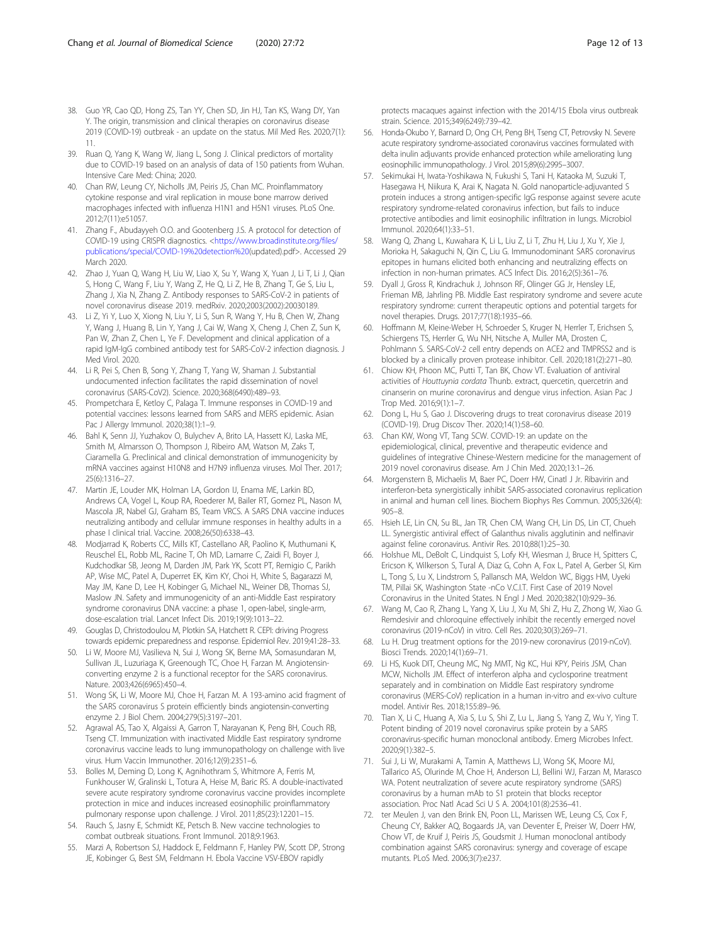- <span id="page-11-0"></span>38. Guo YR, Cao QD, Hong ZS, Tan YY, Chen SD, Jin HJ, Tan KS, Wang DY, Yan Y. The origin, transmission and clinical therapies on coronavirus disease 2019 (COVID-19) outbreak - an update on the status. Mil Med Res. 2020;7(1): 11.
- 39. Ruan Q, Yang K, Wang W, Jiang L, Song J. Clinical predictors of mortality due to COVID-19 based on an analysis of data of 150 patients from Wuhan. Intensive Care Med: China; 2020.
- 40. Chan RW, Leung CY, Nicholls JM, Peiris JS, Chan MC. Proinflammatory cytokine response and viral replication in mouse bone marrow derived macrophages infected with influenza H1N1 and H5N1 viruses. PLoS One. 2012;7(11):e51057.
- 41. Zhang F., Abudayyeh O.O. and Gootenberg J.S. A protocol for detection of COVID-19 using CRISPR diagnostics. <[https://www.broadinstitute.org/files/](https://www.broadinstitute.org/files/publications/special/COVID-19%20detection%20) [publications/special/COVID-19%20detection%20\(](https://www.broadinstitute.org/files/publications/special/COVID-19%20detection%20)updated).pdf>. Accessed 29 March 2020.
- 42. Zhao J, Yuan Q, Wang H, Liu W, Liao X, Su Y, Wang X, Yuan J, Li T, Li J, Qian S, Hong C, Wang F, Liu Y, Wang Z, He Q, Li Z, He B, Zhang T, Ge S, Liu L, Zhang J, Xia N, Zhang Z. Antibody responses to SARS-CoV-2 in patients of novel coronavirus disease 2019. medRxiv. 2020;2003(2002):20030189.
- 43. Li Z, Yi Y, Luo X, Xiong N, Liu Y, Li S, Sun R, Wang Y, Hu B, Chen W, Zhang Y, Wang J, Huang B, Lin Y, Yang J, Cai W, Wang X, Cheng J, Chen Z, Sun K, Pan W, Zhan Z, Chen L, Ye F. Development and clinical application of a rapid IgM-IgG combined antibody test for SARS-CoV-2 infection diagnosis. J Med Virol. 2020.
- 44. Li R, Pei S, Chen B, Song Y, Zhang T, Yang W, Shaman J. Substantial undocumented infection facilitates the rapid dissemination of novel coronavirus (SARS-CoV2). Science. 2020;368(6490):489–93.
- 45. Prompetchara E, Ketloy C, Palaga T. Immune responses in COVID-19 and potential vaccines: lessons learned from SARS and MERS epidemic. Asian Pac J Allergy Immunol. 2020;38(1):1–9.
- 46. Bahl K, Senn JJ, Yuzhakov O, Bulychev A, Brito LA, Hassett KJ, Laska ME, Smith M, Almarsson O, Thompson J, Ribeiro AM, Watson M, Zaks T, Ciaramella G. Preclinical and clinical demonstration of immunogenicity by mRNA vaccines against H10N8 and H7N9 influenza viruses. Mol Ther. 2017; 25(6):1316–27.
- 47. Martin JE, Louder MK, Holman LA, Gordon IJ, Enama ME, Larkin BD, Andrews CA, Vogel L, Koup RA, Roederer M, Bailer RT, Gomez PL, Nason M, Mascola JR, Nabel GJ, Graham BS, Team VRCS. A SARS DNA vaccine induces neutralizing antibody and cellular immune responses in healthy adults in a phase I clinical trial. Vaccine. 2008;26(50):6338–43.
- 48. Modjarrad K, Roberts CC, Mills KT, Castellano AR, Paolino K, Muthumani K, Reuschel EL, Robb ML, Racine T, Oh MD, Lamarre C, Zaidi FI, Boyer J, Kudchodkar SB, Jeong M, Darden JM, Park YK, Scott PT, Remigio C, Parikh AP, Wise MC, Patel A, Duperret EK, Kim KY, Choi H, White S, Bagarazzi M, May JM, Kane D, Lee H, Kobinger G, Michael NL, Weiner DB, Thomas SJ, Maslow JN. Safety and immunogenicity of an anti-Middle East respiratory syndrome coronavirus DNA vaccine: a phase 1, open-label, single-arm, dose-escalation trial. Lancet Infect Dis. 2019;19(9):1013–22.
- 49. Gouglas D, Christodoulou M, Plotkin SA, Hatchett R. CEPI: driving Progress towards epidemic preparedness and response. Epidemiol Rev. 2019;41:28–33.
- 50. Li W, Moore MJ, Vasilieva N, Sui J, Wong SK, Berne MA, Somasundaran M, Sullivan JL, Luzuriaga K, Greenough TC, Choe H, Farzan M. Angiotensinconverting enzyme 2 is a functional receptor for the SARS coronavirus. Nature. 2003;426(6965):450–4.
- 51. Wong SK, Li W, Moore MJ, Choe H, Farzan M. A 193-amino acid fragment of the SARS coronavirus S protein efficiently binds angiotensin-converting enzyme 2. J Biol Chem. 2004;279(5):3197–201.
- 52. Agrawal AS, Tao X, Algaissi A, Garron T, Narayanan K, Peng BH, Couch RB, Tseng CT. Immunization with inactivated Middle East respiratory syndrome coronavirus vaccine leads to lung immunopathology on challenge with live virus. Hum Vaccin Immunother. 2016;12(9):2351–6.
- 53. Bolles M, Deming D, Long K, Agnihothram S, Whitmore A, Ferris M, Funkhouser W, Gralinski L, Totura A, Heise M, Baric RS. A double-inactivated severe acute respiratory syndrome coronavirus vaccine provides incomplete protection in mice and induces increased eosinophilic proinflammatory pulmonary response upon challenge. J Virol. 2011;85(23):12201–15.
- 54. Rauch S, Jasny E, Schmidt KE, Petsch B. New vaccine technologies to combat outbreak situations. Front Immunol. 2018;9:1963.
- 55. Marzi A, Robertson SJ, Haddock E, Feldmann F, Hanley PW, Scott DP, Strong JE, Kobinger G, Best SM, Feldmann H. Ebola Vaccine VSV-EBOV rapidly

protects macaques against infection with the 2014/15 Ebola virus outbreak strain. Science. 2015;349(6249):739–42.

- 56. Honda-Okubo Y, Barnard D, Ong CH, Peng BH, Tseng CT, Petrovsky N. Severe acute respiratory syndrome-associated coronavirus vaccines formulated with delta inulin adjuvants provide enhanced protection while ameliorating lung eosinophilic immunopathology. J Virol. 2015;89(6):2995–3007.
- 57. Sekimukai H, Iwata-Yoshikawa N, Fukushi S, Tani H, Kataoka M, Suzuki T, Hasegawa H, Niikura K, Arai K, Nagata N. Gold nanoparticle-adjuvanted S protein induces a strong antigen-specific IgG response against severe acute respiratory syndrome-related coronavirus infection, but fails to induce protective antibodies and limit eosinophilic infiltration in lungs. Microbiol Immunol. 2020;64(1):33–51.
- 58. Wang Q, Zhang L, Kuwahara K, Li L, Liu Z, Li T, Zhu H, Liu J, Xu Y, Xie J, Morioka H, Sakaguchi N, Qin C, Liu G. Immunodominant SARS coronavirus epitopes in humans elicited both enhancing and neutralizing effects on infection in non-human primates. ACS Infect Dis. 2016;2(5):361–76.
- 59. Dyall J, Gross R, Kindrachuk J, Johnson RF, Olinger GG Jr, Hensley LE, Frieman MB, Jahrling PB. Middle East respiratory syndrome and severe acute respiratory syndrome: current therapeutic options and potential targets for novel therapies. Drugs. 2017;77(18):1935–66.
- 60. Hoffmann M, Kleine-Weber H, Schroeder S, Kruger N, Herrler T, Erichsen S, Schiergens TS, Herrler G, Wu NH, Nitsche A, Muller MA, Drosten C, Pohlmann S. SARS-CoV-2 cell entry depends on ACE2 and TMPRSS2 and is blocked by a clinically proven protease inhibitor. Cell. 2020;181(2):271–80.
- 61. Chiow KH, Phoon MC, Putti T, Tan BK, Chow VT. Evaluation of antiviral activities of Houttuynia cordata Thunb. extract, quercetin, quercetrin and cinanserin on murine coronavirus and dengue virus infection. Asian Pac J Trop Med. 2016;9(1):1–7.
- 62. Dong L, Hu S, Gao J. Discovering drugs to treat coronavirus disease 2019 (COVID-19). Drug Discov Ther. 2020;14(1):58–60.
- 63. Chan KW, Wong VT, Tang SCW. COVID-19: an update on the epidemiological, clinical, preventive and therapeutic evidence and guidelines of integrative Chinese-Western medicine for the management of 2019 novel coronavirus disease. Am J Chin Med. 2020;13:1–26.
- 64. Morgenstern B, Michaelis M, Baer PC, Doerr HW, Cinatl J Jr. Ribavirin and interferon-beta synergistically inhibit SARS-associated coronavirus replication in animal and human cell lines. Biochem Biophys Res Commun. 2005;326(4): 905–8.
- 65. Hsieh LE, Lin CN, Su BL, Jan TR, Chen CM, Wang CH, Lin DS, Lin CT, Chueh LL. Synergistic antiviral effect of Galanthus nivalis agglutinin and nelfinavir against feline coronavirus. Antivir Res. 2010;88(1):25–30.
- 66. Holshue ML, DeBolt C, Lindquist S, Lofy KH, Wiesman J, Bruce H, Spitters C, Ericson K, Wilkerson S, Tural A, Diaz G, Cohn A, Fox L, Patel A, Gerber SI, Kim L, Tong S, Lu X, Lindstrom S, Pallansch MA, Weldon WC, Biggs HM, Uyeki TM, Pillai SK, Washington State -nCo V.C.I.T. First Case of 2019 Novel Coronavirus in the United States. N Engl J Med. 2020;382(10):929–36.
- 67. Wang M, Cao R, Zhang L, Yang X, Liu J, Xu M, Shi Z, Hu Z, Zhong W, Xiao G. Remdesivir and chloroquine effectively inhibit the recently emerged novel coronavirus (2019-nCoV) in vitro. Cell Res. 2020;30(3):269–71.
- 68. Lu H. Drug treatment options for the 2019-new coronavirus (2019-nCoV). Biosci Trends. 2020;14(1):69–71.
- 69. Li HS, Kuok DIT, Cheung MC, Ng MMT, Ng KC, Hui KPY, Peiris JSM, Chan MCW, Nicholls JM. Effect of interferon alpha and cyclosporine treatment separately and in combination on Middle East respiratory syndrome coronavirus (MERS-CoV) replication in a human in-vitro and ex-vivo culture model. Antivir Res. 2018;155:89–96.
- 70. Tian X, Li C, Huang A, Xia S, Lu S, Shi Z, Lu L, Jiang S, Yang Z, Wu Y, Ying T. Potent binding of 2019 novel coronavirus spike protein by a SARS coronavirus-specific human monoclonal antibody. Emerg Microbes Infect. 2020;9(1):382–5.
- 71. Sui J, Li W, Murakami A, Tamin A, Matthews LJ, Wong SK, Moore MJ, Tallarico AS, Olurinde M, Choe H, Anderson LJ, Bellini WJ, Farzan M, Marasco WA. Potent neutralization of severe acute respiratory syndrome (SARS) coronavirus by a human mAb to S1 protein that blocks receptor association. Proc Natl Acad Sci U S A. 2004;101(8):2536–41.
- 72. ter Meulen J, van den Brink EN, Poon LL, Marissen WE, Leung CS, Cox F, Cheung CY, Bakker AQ, Bogaards JA, van Deventer E, Preiser W, Doerr HW, Chow VT, de Kruif J, Peiris JS, Goudsmit J. Human monoclonal antibody combination against SARS coronavirus: synergy and coverage of escape mutants. PLoS Med. 2006;3(7):e237.